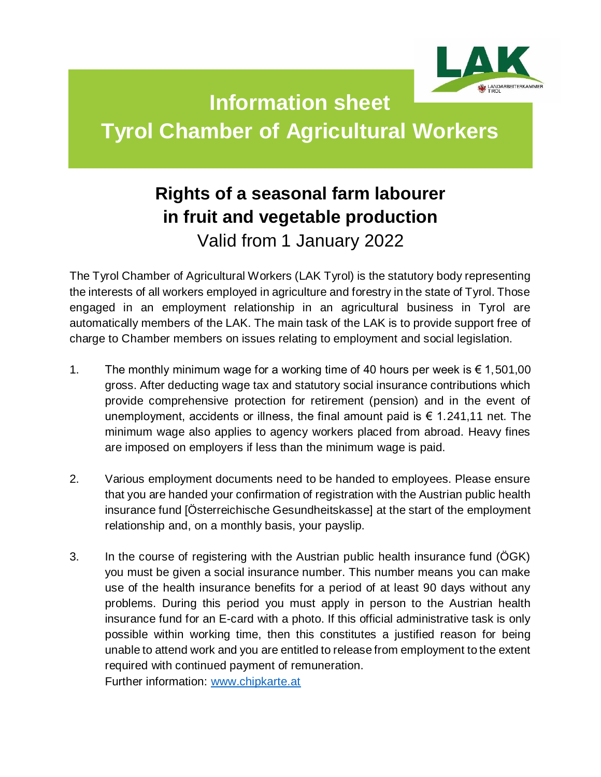

## **Information sheet Tyrol Chamber of Agricultural Workers**

## **Rights of a seasonal farm labourer in fruit and vegetable production** Valid from 1 January 2022

The Tyrol Chamber of Agricultural Workers (LAK Tyrol) is the statutory body representing the interests of all workers employed in agriculture and forestry in the state of Tyrol. Those engaged in an employment relationship in an agricultural business in Tyrol are automatically members of the LAK. The main task of the LAK is to provide support free of charge to Chamber members on issues relating to employment and social legislation.

- 1. The monthly minimum wage for a working time of 40 hours per week is  $\epsilon$  1,501,00 gross. After deducting wage tax and statutory social insurance contributions which provide comprehensive protection for retirement (pension) and in the event of unemployment, accidents or illness, the final amount paid is  $\epsilon$  1.241,11 net. The minimum wage also applies to agency workers placed from abroad. Heavy fines are imposed on employers if less than the minimum wage is paid.
- 2. Various employment documents need to be handed to employees. Please ensure that you are handed your confirmation of registration with the Austrian public health insurance fund [Österreichische Gesundheitskasse] at the start of the employment relationship and, on a monthly basis, your payslip.
- 3. In the course of registering with the Austrian public health insurance fund (ÖGK) you must be given a social insurance number. This number means you can make use of the health insurance benefits for a period of at least 90 days without any problems. During this period you must apply in person to the Austrian health insurance fund for an E-card with a photo. If this official administrative task is only possible within working time, then this constitutes a justified reason for being unable to attend work and you are entitled to release from employment to the extent required with continued payment of remuneration.

Further information: [www.chipkarte.at](http://www.chipkarte.at/)